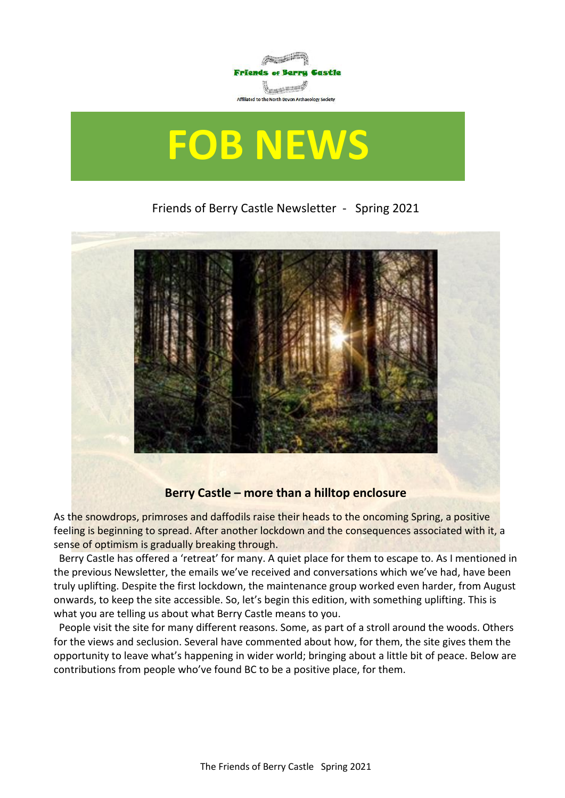

# **FOB NEWS**

## Friends of Berry Castle Newsletter - Spring 2021



## **Berry Castle – more than a hilltop enclosure**

As the snowdrops, primroses and daffodils raise their heads to the oncoming Spring, a positive feeling is beginning to spread. After another lockdown and the consequences associated with it, a sense of optimism is gradually breaking through.

 Berry Castle has offered a 'retreat' for many. A quiet place for them to escape to. As I mentioned in the previous Newsletter, the emails we've received and conversations which we've had, have been truly uplifting. Despite the first lockdown, the maintenance group worked even harder, from August onwards, to keep the site accessible. So, let's begin this edition, with something uplifting. This is what you are telling us about what Berry Castle means to you.

 People visit the site for many different reasons. Some, as part of a stroll around the woods. Others for the views and seclusion. Several have commented about how, for them, the site gives them the opportunity to leave what's happening in wider world; bringing about a little bit of peace. Below are contributions from people who've found BC to be a positive place, for them.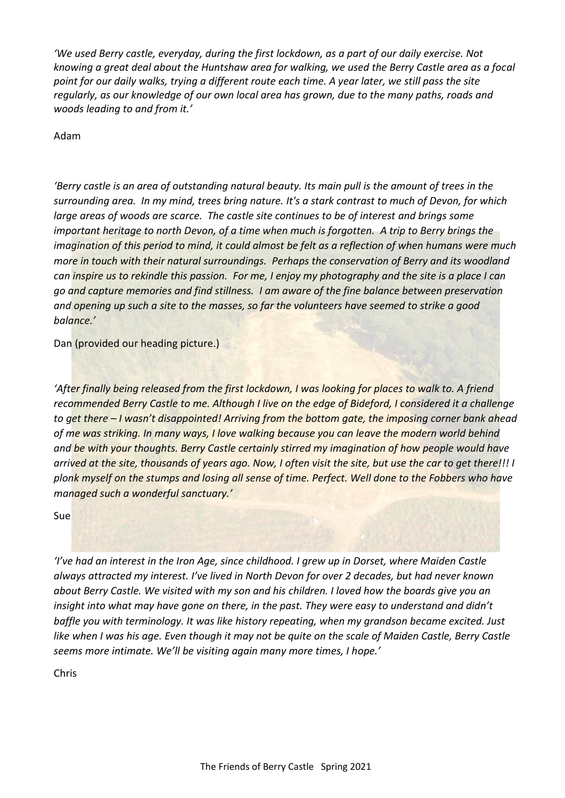*'We used Berry castle, everyday, during the first lockdown, as a part of our daily exercise. Not knowing a great deal about the Huntshaw area for walking, we used the Berry Castle area as a focal point for our daily walks, trying a different route each time. A year later, we still pass the site regularly, as our knowledge of our own local area has grown, due to the many paths, roads and woods leading to and from it.'*

Adam

*'Berry castle is an area of outstanding natural beauty. Its main pull is the amount of trees in the surrounding area. In my mind, trees bring nature. It's a stark contrast to much of Devon, for which large areas of woods are scarce. The castle site continues to be of interest and brings some important heritage to north Devon, of a time when much is forgotten. A trip to Berry brings the imagination of this period to mind, it could almost be felt as a reflection of when humans were much more in touch with their natural surroundings. Perhaps the conservation of Berry and its woodland can inspire us to rekindle this passion. For me, I enjoy my photography and the site is a place I can go and capture memories and find stillness. I am aware of the fine balance between preservation and opening up such a site to the masses, so far the volunteers have seemed to strike a good balance.'* 

Dan (provided our heading picture.)

*'After finally being released from the first lockdown, I was looking for places to walk to. A friend recommended Berry Castle to me. Although I live on the edge of Bideford, I considered it a challenge to get there – I wasn't disappointed! Arriving from the bottom gate, the imposing corner bank ahead of me was striking. In many ways, I love walking because you can leave the modern world behind and be with your thoughts. Berry Castle certainly stirred my imagination of how people would have arrived at the site, thousands of years ago. Now, I often visit the site, but use the car to get there!!! I plonk myself on the stumps and losing all sense of time. Perfect. Well done to the Fobbers who have managed such a wonderful sanctuary.'*

Sue

*'I've had an interest in the Iron Age, since childhood. I grew up in Dorset, where Maiden Castle always attracted my interest. I've lived in North Devon for over 2 decades, but had never known about Berry Castle. We visited with my son and his children. I loved how the boards give you an insight into what may have gone on there, in the past. They were easy to understand and didn't baffle you with terminology. It was like history repeating, when my grandson became excited. Just like when I was his age. Even though it may not be quite on the scale of Maiden Castle, Berry Castle seems more intimate. We'll be visiting again many more times, I hope.'*

Chris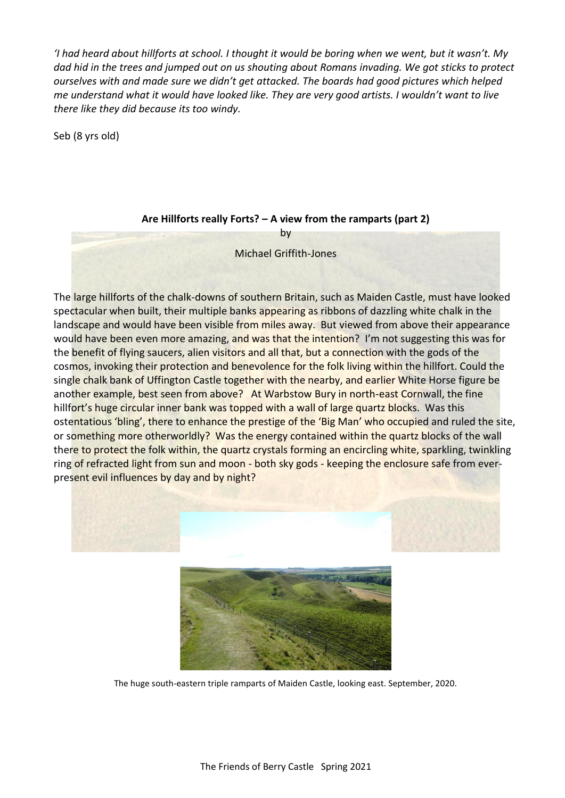*'I had heard about hillforts at school. I thought it would be boring when we went, but it wasn't. My dad hid in the trees and jumped out on us shouting about Romans invading. We got sticks to protect ourselves with and made sure we didn't get attacked. The boards had good pictures which helped me understand what it would have looked like. They are very good artists. I wouldn't want to live there like they did because its too windy.* 

Seb (8 yrs old)

#### **Are Hillforts really Forts? – A view from the ramparts (part 2)**

by Michael Griffith-Jones

The large hillforts of the chalk-downs of southern Britain, such as Maiden Castle, must have looked spectacular when built, their multiple banks appearing as ribbons of dazzling white chalk in the landscape and would have been visible from miles away. But viewed from above their appearance would have been even more amazing, and was that the intention? I'm not suggesting this was for the benefit of flying saucers, alien visitors and all that, but a connection with the gods of the cosmos, invoking their protection and benevolence for the folk living within the hillfort. Could the single chalk bank of Uffington Castle together with the nearby, and earlier White Horse figure be another example, best seen from above? At Warbstow Bury in north-east Cornwall, the fine hillfort's huge circular inner bank was topped with a wall of large quartz blocks. Was this ostentatious 'bling', there to enhance the prestige of the 'Big Man' who occupied and ruled the site, or something more otherworldly? Was the energy contained within the quartz blocks of the wall there to protect the folk within, the quartz crystals forming an encircling white, sparkling, twinkling ring of refracted light from sun and moon - both sky gods - keeping the enclosure safe from everpresent evil influences by day and by night?





The huge south-eastern triple ramparts of Maiden Castle, looking east. September, 2020.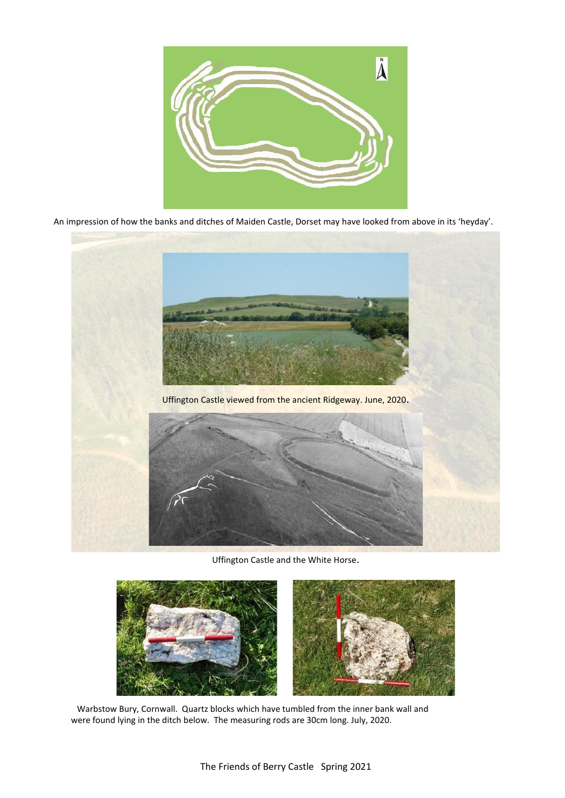

An impression of how the banks and ditches of Maiden Castle, Dorset may have looked from above in its 'heyday'.



Uffington Castle and the White Horse.



 Warbstow Bury, Cornwall. Quartz blocks which have tumbled from the inner bank wall and were found lying in the ditch below. The measuring rods are 30cm long. July, 2020.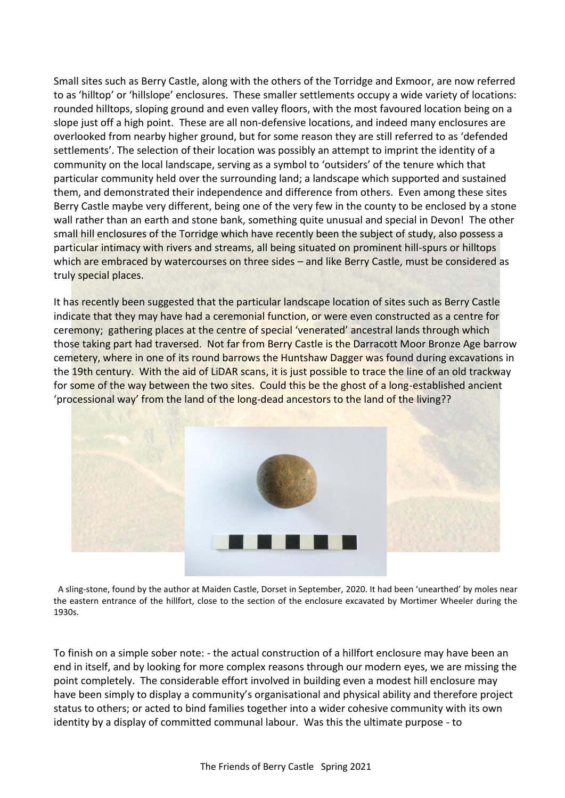Small sites such as Berry Castle, along with the others of the Torridge and Exmoor, are now referred to as 'hilltop' or 'hillslope' enclosures. These smaller settlements occupy a wide variety of locations: rounded hilltops, sloping ground and even valley floors, with the most favoured location being on a slope just off a high point. These are all non-defensive locations, and indeed many enclosures are overlooked from nearby higher ground, but for some reason they are still referred to as 'defended settlements'. The selection of their location was possibly an attempt to imprint the identity of a community on the local landscape, serving as a symbol to 'outsiders' of the tenure which that particular community held over the surrounding land; a landscape which supported and sustained them, and demonstrated their independence and difference from others. Even among these sites Berry Castle maybe very different, being one of the very few in the county to be enclosed by a stone wall rather than an earth and stone bank, something quite unusual and special in Devon! The other small hill enclosures of the Torridge which have recently been the subject of study, also possess a particular intimacy with rivers and streams, all being situated on prominent hill-spurs or hilltops which are embraced by watercourses on three sides – and like Berry Castle, must be considered as truly special places.

It has recently been suggested that the particular landscape location of sites such as Berry Castle indicate that they may have had a ceremonial function, or were even constructed as a centre for ceremony; gathering places at the centre of special 'venerated' ancestral lands through which those taking part had traversed. Not far from Berry Castle is the Darracott Moor Bronze Age barrow cemetery, where in one of its round barrows the Huntshaw Dagger was found during excavations in the 19th century. With the aid of LiDAR scans, it is just possible to trace the line of an old trackway for some of the way between the two sites. Could this be the ghost of a long-established ancient 'processional way' from the land of the long-dead ancestors to the land of the living??



 A sling-stone, found by the author at Maiden Castle, Dorset in September, 2020. It had been 'unearthed' by moles near the eastern entrance of the hillfort, close to the section of the enclosure excavated by Mortimer Wheeler during the 1930s.

To finish on a simple sober note: - the actual construction of a hillfort enclosure may have been an end in itself, and by looking for more complex reasons through our modern eyes, we are missing the point completely. The considerable effort involved in building even a modest hill enclosure may have been simply to display a community's organisational and physical ability and therefore project status to others; or acted to bind families together into a wider cohesive community with its own identity by a display of committed communal labour. Was this the ultimate purpose - to